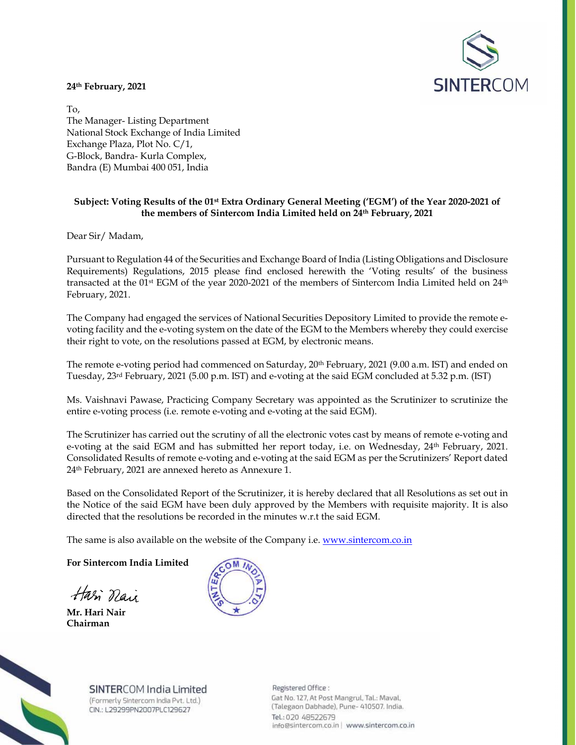

## **24th February, 2021**

To, The Manager- Listing Department National Stock Exchange of India Limited Exchange Plaza, Plot No. C/1, G-Block, Bandra- Kurla Complex, Bandra (E) Mumbai 400 051, India

## **Subject: Voting Results of the 01st Extra Ordinary General Meeting ('EGM') of the Year 2020-2021 of the members of Sintercom India Limited held on 24th February, 2021**

Dear Sir/ Madam,

Pursuant to Regulation 44 of the Securities and Exchange Board of India (Listing Obligations and Disclosure Requirements) Regulations, 2015 please find enclosed herewith the 'Voting results' of the business transacted at the 01st EGM of the year 2020-2021 of the members of Sintercom India Limited held on 24th February, 2021.

The Company had engaged the services of National Securities Depository Limited to provide the remote evoting facility and the e-voting system on the date of the EGM to the Members whereby they could exercise their right to vote, on the resolutions passed at EGM, by electronic means.

The remote e-voting period had commenced on Saturday, 20<sup>th</sup> February, 2021 (9.00 a.m. IST) and ended on Tuesday, 23rd February, 2021 (5.00 p.m. IST) and e-voting at the said EGM concluded at 5.32 p.m. (IST)

Ms. Vaishnavi Pawase, Practicing Company Secretary was appointed as the Scrutinizer to scrutinize the entire e-voting process (i.e. remote e-voting and e-voting at the said EGM).

The Scrutinizer has carried out the scrutiny of all the electronic votes cast by means of remote e-voting and e-voting at the said EGM and has submitted her report today, i.e. on Wednesday, 24<sup>th</sup> February, 2021. Consolidated Results of remote e-voting and e-voting at the said EGM as per the Scrutinizers' Report dated 24th February, 2021 are annexed hereto as Annexure 1.

Based on the Consolidated Report of the Scrutinizer, it is hereby declared that all Resolutions as set out in the Notice of the said EGM have been duly approved by the Members with requisite majority. It is also directed that the resolutions be recorded in the minutes w.r.t the said EGM.

The same is also available on the website of the Company i.e. www.sintercom.co.in

**For Sintercom India Limited** 

Hari Mai

**Mr. Hari Nair Chairman**





SINTERCOM India Limited (Formerly Sintercom India Pvt. Ltd.) CIN.: L29299PN2007PLC129627

Registered Office: Gat No. 127, At Post Mangrul, Tal.: Maval, (Talegaon Dabhade), Pune- 410507. India. Tel.: 020 48522679 info@sintercom.co.in | www.sintercom.co.in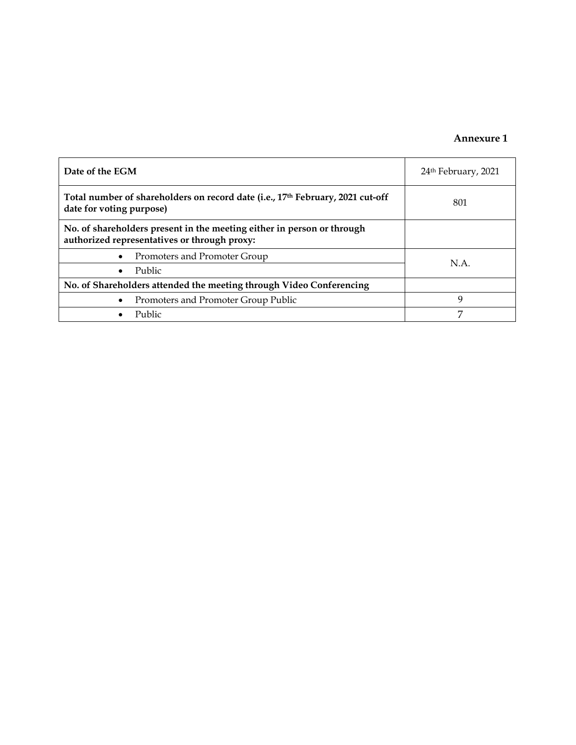## **Annexure 1**

| Date of the EGM                                                                                                        | 24 <sup>th</sup> February, 2021 |  |  |
|------------------------------------------------------------------------------------------------------------------------|---------------------------------|--|--|
| Total number of shareholders on record date (i.e., 17 <sup>th</sup> February, 2021 cut-off<br>date for voting purpose) | 801                             |  |  |
| No. of shareholders present in the meeting either in person or through<br>authorized representatives or through proxy: |                                 |  |  |
| Promoters and Promoter Group                                                                                           | N.A.                            |  |  |
| Public<br>٠                                                                                                            |                                 |  |  |
| No. of Shareholders attended the meeting through Video Conferencing                                                    |                                 |  |  |
| Promoters and Promoter Group Public                                                                                    | 9                               |  |  |
| Public                                                                                                                 | 7                               |  |  |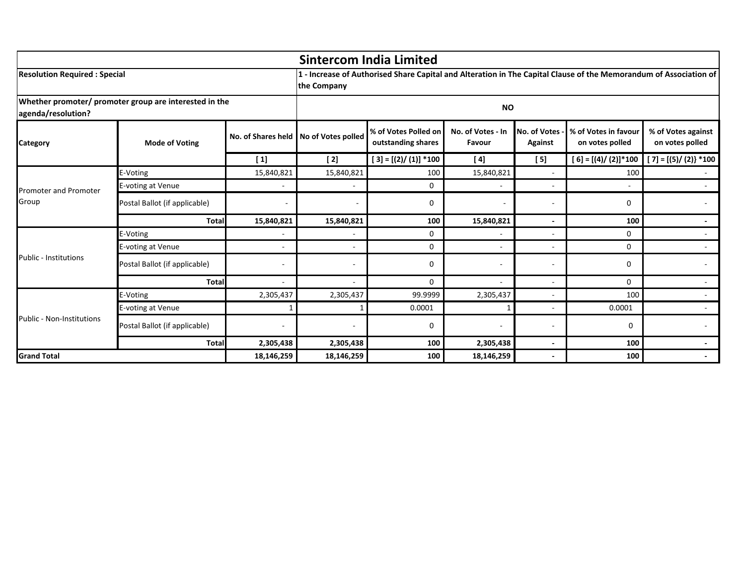|                                                                              |                               |                                       |                                                                                                                                  | <b>Sintercom India Limited</b>             |                             |                                |                                         |                                       |  |
|------------------------------------------------------------------------------|-------------------------------|---------------------------------------|----------------------------------------------------------------------------------------------------------------------------------|--------------------------------------------|-----------------------------|--------------------------------|-----------------------------------------|---------------------------------------|--|
| <b>Resolution Required : Special</b>                                         |                               |                                       | 1 - Increase of Authorised Share Capital and Alteration in The Capital Clause of the Memorandum of Association of<br>the Company |                                            |                             |                                |                                         |                                       |  |
| Whether promoter/ promoter group are interested in the<br>agenda/resolution? |                               |                                       | <b>NO</b>                                                                                                                        |                                            |                             |                                |                                         |                                       |  |
| Category                                                                     | <b>Mode of Voting</b>         | No. of Shares held No of Votes polled |                                                                                                                                  | % of Votes Polled on<br>outstanding shares | No. of Votes - In<br>Favour | <b>No. of Votes</b><br>Against | % of Votes in favour<br>on votes polled | % of Votes against<br>on votes polled |  |
|                                                                              |                               | $[1]$                                 | $[2]$                                                                                                                            | $[3] = [(2) / (1)] * 100$                  | [4]                         | [5]                            | $[6] = [(4) / (2)]$ *100                | $[7] = [(5) / (2)] * 100$             |  |
|                                                                              | E-Voting                      | 15,840,821                            | 15,840,821                                                                                                                       | 100                                        | 15,840,821                  | $\sim$                         | 100                                     |                                       |  |
| <b>Promoter and Promoter</b><br>Group                                        | E-voting at Venue             | $\sim$                                |                                                                                                                                  | 0                                          | $\overline{\phantom{a}}$    | $\sim$                         | $\blacksquare$                          | $\sim$                                |  |
|                                                                              | Postal Ballot (if applicable) |                                       |                                                                                                                                  | 0                                          |                             |                                | 0                                       |                                       |  |
|                                                                              | <b>Total</b>                  | 15,840,821                            | 15,840,821                                                                                                                       | 100                                        | 15,840,821                  | $\overline{\phantom{a}}$       | 100                                     |                                       |  |
|                                                                              | E-Voting                      |                                       |                                                                                                                                  | 0                                          |                             | $\sim$                         | 0                                       |                                       |  |
|                                                                              | E-voting at Venue             | $\overline{\phantom{a}}$              |                                                                                                                                  | 0                                          | $\overline{\phantom{a}}$    | $\overline{\phantom{a}}$       | 0                                       |                                       |  |
| Public - Institutions                                                        | Postal Ballot (if applicable) |                                       |                                                                                                                                  | 0                                          |                             |                                | 0                                       |                                       |  |
|                                                                              | <b>Total</b>                  |                                       |                                                                                                                                  | $\Omega$                                   |                             | $\overline{\phantom{a}}$       | 0                                       |                                       |  |
| <b>Public - Non-Institutions</b>                                             | E-Voting                      | 2,305,437                             | 2,305,437                                                                                                                        | 99.9999                                    | 2,305,437                   | $\sim$                         | 100                                     |                                       |  |
|                                                                              | E-voting at Venue             |                                       |                                                                                                                                  | 0.0001                                     |                             |                                | 0.0001                                  |                                       |  |
|                                                                              | Postal Ballot (if applicable) |                                       |                                                                                                                                  | 0                                          |                             |                                | 0                                       |                                       |  |
|                                                                              | <b>Total</b>                  | 2,305,438                             | 2,305,438                                                                                                                        | 100                                        | 2,305,438                   | $\overline{\phantom{a}}$       | 100                                     |                                       |  |
| <b>Grand Total</b>                                                           |                               | 18,146,259                            | 18,146,259                                                                                                                       | 100                                        | 18,146,259                  |                                | 100                                     |                                       |  |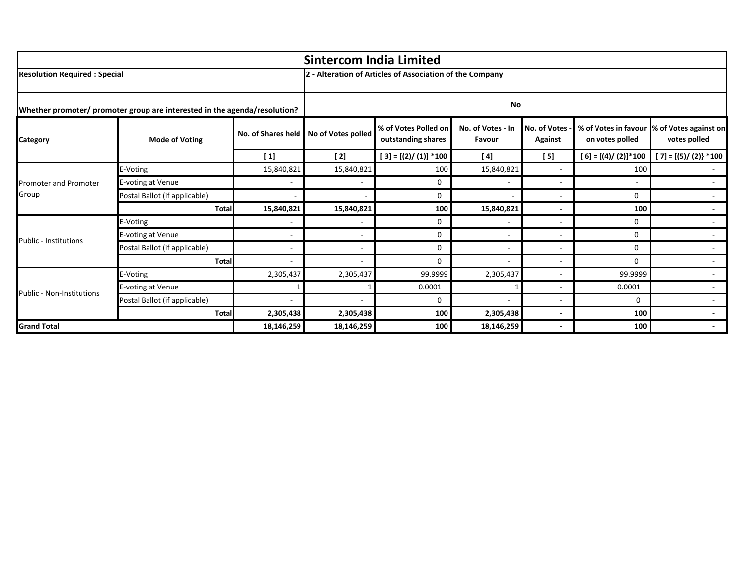|                                                                                                                  |                               |            | <b>Sintercom India Limited</b>                           |                                            |                             |                         |                                         |                                       |
|------------------------------------------------------------------------------------------------------------------|-------------------------------|------------|----------------------------------------------------------|--------------------------------------------|-----------------------------|-------------------------|-----------------------------------------|---------------------------------------|
| <b>Resolution Required: Special</b><br>Whether promoter/ promoter group are interested in the agenda/resolution? |                               |            | 2 - Alteration of Articles of Association of the Company |                                            |                             |                         |                                         |                                       |
|                                                                                                                  |                               |            | <b>No</b>                                                |                                            |                             |                         |                                         |                                       |
| <b>Category</b>                                                                                                  | <b>Mode of Voting</b>         |            | No. of Shares held No of Votes polled                    | % of Votes Polled on<br>outstanding shares | No. of Votes - In<br>Favour | No. of Votes<br>Against | % of Votes in favour<br>on votes polled | % of Votes against on<br>votes polled |
|                                                                                                                  |                               | $[1]$      | $[2]$                                                    | $[3] = [(2) / (1)] * 100$                  | [4]                         | [5]                     | $[6] = [(4]/(2)]$ *100                  | $[7] = [(5) / (2)] * 100$             |
|                                                                                                                  | E-Voting                      | 15,840,821 | 15,840,821                                               | 100                                        | 15,840,821                  |                         | 100                                     |                                       |
| Promoter and Promoter                                                                                            | E-voting at Venue             |            |                                                          | 0                                          |                             |                         |                                         |                                       |
| Group                                                                                                            | Postal Ballot (if applicable) |            |                                                          | 0                                          |                             |                         | 0                                       |                                       |
|                                                                                                                  | <b>Total</b>                  | 15,840,821 | 15,840,821                                               | 100                                        | 15,840,821                  |                         | 100                                     |                                       |
|                                                                                                                  | E-Voting                      |            |                                                          | 0                                          |                             |                         | 0                                       |                                       |
| Public - Institutions                                                                                            | E-voting at Venue             |            | $\overline{\phantom{a}}$                                 | 0                                          |                             |                         | 0                                       |                                       |
|                                                                                                                  | Postal Ballot (if applicable) |            |                                                          | 0                                          |                             |                         | 0                                       |                                       |
|                                                                                                                  | <b>Total</b>                  |            |                                                          | 0                                          |                             |                         | 0                                       |                                       |
| Public - Non-Institutions                                                                                        | E-Voting                      | 2,305,437  | 2,305,437                                                | 99.9999                                    | 2,305,437                   |                         | 99.9999                                 |                                       |
|                                                                                                                  | E-voting at Venue             |            |                                                          | 0.0001                                     |                             |                         | 0.0001                                  | $\overline{\phantom{a}}$              |
|                                                                                                                  | Postal Ballot (if applicable) |            |                                                          | 0                                          |                             |                         | 0                                       |                                       |
|                                                                                                                  | <b>Total</b>                  | 2,305,438  | 2,305,438                                                | 100                                        | 2,305,438                   |                         | 100                                     |                                       |
| <b>Grand Total</b><br>18,146,259                                                                                 |                               | 18,146,259 | 100                                                      | 18,146,259                                 |                             | 100                     |                                         |                                       |